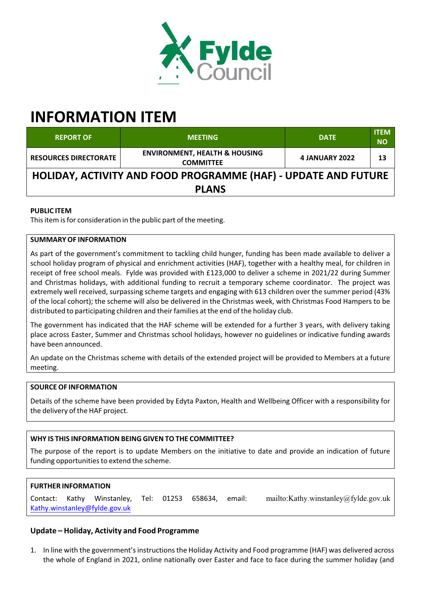

# **INFORMATION ITEM**

| <b>REPORT OF</b>                                               | <b>MEETING</b>                                               | <b>DATE</b>    | <b>ITEM</b><br><b>NO</b> |
|----------------------------------------------------------------|--------------------------------------------------------------|----------------|--------------------------|
| <b>RESOURCES DIRECTORATE</b>                                   | <b>ENVIRONMENT, HEALTH &amp; HOUSING</b><br><b>COMMITTEE</b> | 4 JANUARY 2022 | 13                       |
| HOLIDAY, ACTIVITY AND FOOD PROGRAMME (HAF) - UPDATE AND FUTURE |                                                              |                |                          |
| <b>PLANS</b>                                                   |                                                              |                |                          |

## **PUBLIC ITEM**

This item is for consideration in the public part of the meeting.

### **SUMMARY OF INFORMATION**

As part of the government's commitment to tackling child hunger, funding has been made available to deliver a school holiday program of physical and enrichment activities (HAF), together with a healthy meal, for children in receipt of free school meals. Fylde was provided with £123,000 to deliver a scheme in 2021/22 during Summer and Christmas holidays, with additional funding to recruit a temporary scheme coordinator. The project was extremely well received, surpassing scheme targets and engaging with 613 children over the summer period (43% of the local cohort); the scheme will also be delivered in the Christmas week, with Christmas Food Hampers to be distributed to participating children and theirfamilies at the end of the holiday club.

The government has indicated that the HAF scheme will be extended for a further 3 years, with delivery taking place across Easter, Summer and Christmas school holidays, however no guidelines or indicative funding awards have been announced.

An update on the Christmas scheme with details of the extended project will be provided to Members at a future meeting.

#### **SOURCE OF INFORMATION**

Details of the scheme have been provided by Edyta Paxton, Health and Wellbeing Officer with a responsibility for the delivery of the HAF project.

## **WHY IS THIS INFORMATION BEING GIVEN TO THE COMMITTEE?**

The purpose of the report is to update Members on the initiative to date and provide an indication of future funding opportunities to extend the scheme.

## **FURTHER INFORMATION**

Contact: Kathy Winstanley, Tel: 01253 658634, email: mailto:Kathy.winstanley@fylde.gov.uk Kathy.winstanley@fylde.gov.uk

## **Update – Holiday, Activity and Food Programme**

1. In line with the government'sinstructionsthe Holiday Activity and Food programme (HAF) was delivered across the whole of England in 2021, online nationally over Easter and face to face during the summer holiday (and